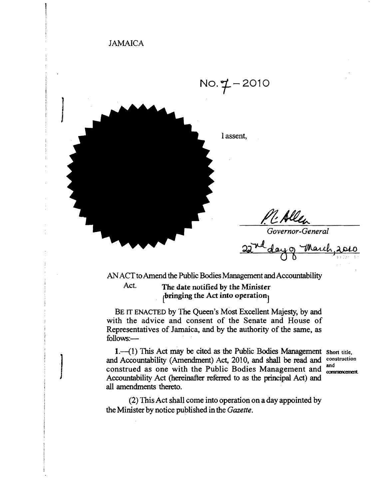

ANACT to Amend the Public Bodies Management and Accountability

Act. The date notified by the Minister  $\beta$  pringing the Act into operation

 $\begin{bmatrix} \phantom{-}\end{bmatrix}$ 

BE IT ENACTED by The Queen's Most Excellent Majesty, by and with the advice and consent of the Senate and House of Representatives of Jamaica, and by the authority of the same, as follows:

 $1.(-1)$  This Act may be cited as the Public Bodies Management Short title, and Accountability (Amendment) Act, 2010, and shall be read and construction construed as one with the Public Bodies Management and commencement. Accountability Act (hereinafter referred to as the principal Act) and all amendments thereto.

(2) This Act shall come into operation on a day appointed by the Minister by notice published in the *Gazette.*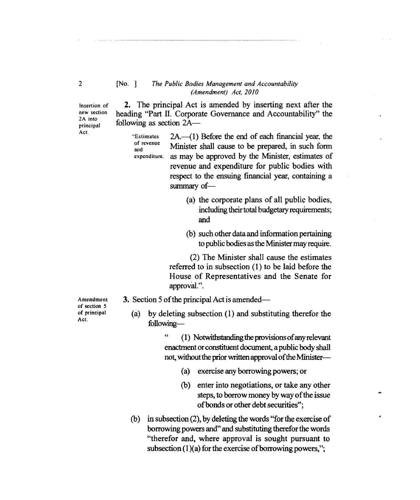## [No. ] *The Public Bodies Management and Accountability (Amendment) Act, 20/0*

Insertion of new section 2A into principal Act.

heading "Part II. Corporate Governance and Accountability" the following as section 2A "Estimates  $2A$ .—(1) Before the end of each financial year, the

**2.** The principal Act is amended by inserting next after the

of revenue and expenditure. Minister shall cause to be prepared, in such form as may be approved by the Minister, estimates of revenue and expenditure for public bodies with respect to the ensuing financial year, containing a summary of-

- (a) the corporate plans of all public bodies, including their total budgetary requirements; and
- (b) such other data and infonnation pertaining to public bodies as the Minister may require.

(2) The Minister shall cause the estimates referred to in subsection (1) to be laid before the House of Representatives and the Senate for approval.".

- Amendment of section 5 of principal Act.
- **3.** Section 5 of the principal Act is amended—
	- (a) by deleting subsection (1) and substituting therefor the following

" (1) Notwithstanding the provisions ofany relevant enactment or constituent document, a public body shall not, without the prior written approval of the Minister-

- (a) exercise any borrowing powers; or
- (b) enter into negotiations, or take any other steps, to borrow money by way of the issue of bonds or other debt securities";
- (b) in subsection  $(2)$ , by deleting the words "for the exercise of borrowing powers and" and substituting therefor the words "therefor and, where approval is sought pursuant to subsection  $(1)(a)$  for the exercise of borrowing powers,";

2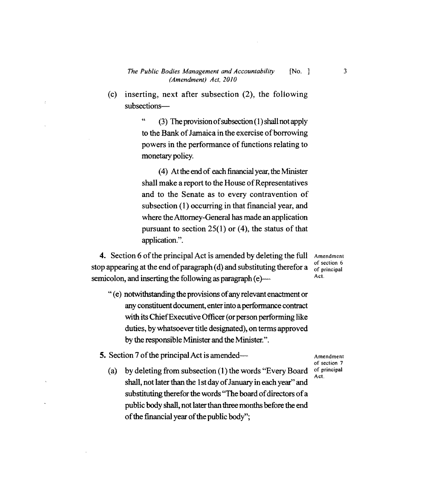## *The Public Bodies Management and Accountability* [No. ] 3 *(Amendment) Act, 2010*

(c) inserting, next after subsection  $(2)$ , the following subsections

> " (3) The provision ofsubsection (1) shall not apply to the Bank of Jamaica in the exercise of borrowing powers in the performance of functions relating to monetary policy.

> (4) At the end of each financial year, the Minister shall make a report to the House of Representatives and to the Senate as to every contravention of subsection (1) occurring in that financial year, and where the Attorney-General has made an application pursuant to section  $25(1)$  or (4), the status of that application.".

**4.** Section 6 of the principal Act is amended by deleting the full Amendment stop appearing at the end of paragraph  $(d)$  and substituting therefor a semicolon, and inserting the following as paragraph  $(e)$   $\qquad \qquad$  Act.

" (e) notwithstanding the provisions ofany relevant enactment or any constituent document, enter into a performance contract with its Chief Executive Officer (or person performing like duties, by whatsoever title designated), on terms approved by the responsible Minister and the Minister.".

**5.** Section 7 of the principal Act is amended— $\overline{ }$  Amendment

(a) by deleting from subsection (1) the words "Every Board" shall, not later than the 1st day of January in each year" and substituting therefor the words "The board of directors of a public body shall, not later than three months before the end of the financial year of the public body";

of section 7<br>of principal Act.

of section 6<br>of principal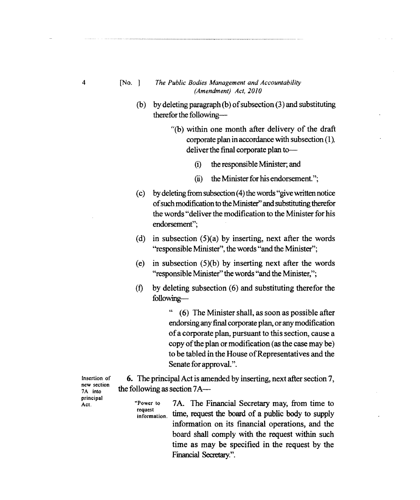## [No. ) *The Public Bodies Management and Accountability (Amendment) Act, 2010*

- (b) by deleting paragraph (b) of subsection  $(3)$  and substituting therefor the following
	- "(b) within one month after delivery of the draft corporate plan in accordance with subsection (1), deliver the final corporate plan to-
		- (i) the responsible Minister; and
		- $(ii)$  the Minister for his endorsement.";
- (c) by deleting from subsection (4) the words "give written notice ofsuch modification to the Minister" and substituting therefor the words "deliver the modification to the Minister for his endorsement";
- (d) in subsection  $(5)(a)$  by inserting, next after the words "responsible Minister", the words "and the Minister";
- (e) in subsection  $(5)(b)$  by inserting next after the words "responsible Minister" the words "and the Minister,";
- (f) by deleting subsection  $(6)$  and substituting therefor the following

" (6) The Minister shall, as soon as possible after endorsing any final corporate plan, orany modification ofa corporate plan, pursuant to this section, cause a copy of the plan or modification (as the case may be) to be tabled in the House of Representatives and the Senate for approval.".

**6.** The principal Act is amended by inserting, next after section 7, the following as section 7A

Insertion of new section 7A into principal Act.

"Power to 7A. The Financial Secretary may, from time to request<br>information. time, request the board of a public body to supply information on its financial operations, and the board shall comply with the request within such time as may be specified in the request by the Financial Secretary.".

4